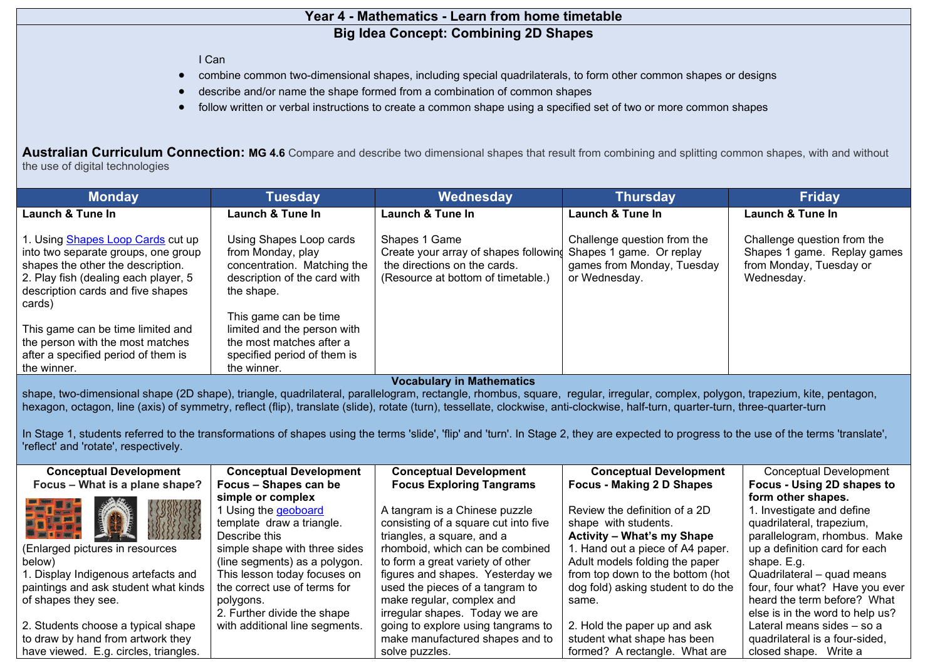## **Year 4 - Mathematics - Learn from home timetable Big Idea Concept: Combining 2D Shapes**

I Can

- combine common two-dimensional shapes, including special quadrilaterals, to form other common shapes or designs
- describe and/or name the shape formed from a combination of common shapes
- follow written or verbal instructions to create a common shape using a specified set of two or more common shapes

Australian Curriculum Connection: MG 4.6 Compare and describe two dimensional shapes that result from combining and splitting common shapes, with and without the use of digital technologies

| <b>Monday</b>                                                                                                                                                                                              | <b>Tuesday</b>                                                                                                                                     | <b>Wednesday</b>                                                                                                                                      | Thursday                                                                   | <b>Friday</b>                                                                                       |
|------------------------------------------------------------------------------------------------------------------------------------------------------------------------------------------------------------|----------------------------------------------------------------------------------------------------------------------------------------------------|-------------------------------------------------------------------------------------------------------------------------------------------------------|----------------------------------------------------------------------------|-----------------------------------------------------------------------------------------------------|
| <b>Launch &amp; Tune In</b>                                                                                                                                                                                | <b>Launch &amp; Tune In</b>                                                                                                                        | Launch & Tune In                                                                                                                                      | <b>Launch &amp; Tune In</b>                                                | <b>Launch &amp; Tune In</b>                                                                         |
| . Using <b>Shapes Loop Cards</b> cut up<br>into two separate groups, one group<br>shapes the other the description.<br>2. Play fish (dealing each player, 5<br>description cards and five shapes<br>cards) | Using Shapes Loop cards<br>from Monday, play<br>concentration. Matching the<br>description of the card with<br>the shape.<br>This game can be time | Shapes 1 Game<br>Create your array of shapes following Shapes 1 game. Or replay<br>the directions on the cards.<br>(Resource at bottom of timetable.) | Challenge question from the<br>games from Monday, Tuesday<br>or Wednesday. | Challenge question from the<br>Shapes 1 game. Replay games<br>from Monday, Tuesday or<br>Wednesday. |
| This game can be time limited and<br>the person with the most matches<br>after a specified period of them is<br>the winner.                                                                                | limited and the person with<br>the most matches after a<br>specified period of them is<br>the winner.                                              |                                                                                                                                                       |                                                                            |                                                                                                     |

**Vocabulary in Mathematics**

shape, two-dimensional shape (2D shape), triangle, quadrilateral, parallelogram, rectangle, rhombus, square, regular, irregular, complex, polygon, trapezium, kite, pentagon, hexagon, octagon, line (axis) of symmetry, reflect (flip), translate (slide), rotate (turn), tessellate, clockwise, anti-clockwise, half-turn, quarter-turn, three-quarter-turn

In Stage 1, students referred to the transformations of shapes using the terms 'slide', 'flip' and 'turn'. In Stage 2, they are expected to progress to the use of the terms 'translate', 'reflect' and 'rotate', respectively.

| <b>Conceptual Development</b>         | <b>Conceptual Development</b>  | <b>Conceptual Development</b>        | <b>Conceptual Development</b>      | <b>Conceptual Development</b>   |
|---------------------------------------|--------------------------------|--------------------------------------|------------------------------------|---------------------------------|
| Focus - What is a plane shape?        | Focus - Shapes can be          | <b>Focus Exploring Tangrams</b>      | <b>Focus - Making 2 D Shapes</b>   | Focus - Using 2D shapes to      |
|                                       | simple or complex              |                                      |                                    | form other shapes.              |
|                                       | 1 Using the geoboard           | A tangram is a Chinese puzzle        | Review the definition of a 2D      | 1. Investigate and define       |
|                                       | template draw a triangle.      | consisting of a square cut into five | shape with students.               | quadrilateral, trapezium,       |
|                                       | Describe this                  | triangles, a square, and a           | <b>Activity - What's my Shape</b>  | parallelogram, rhombus. Make    |
| (Enlarged pictures in resources       | simple shape with three sides  | rhomboid, which can be combined      | 1. Hand out a piece of A4 paper.   | up a definition card for each   |
| below)                                | (line segments) as a polygon.  | to form a great variety of other     | Adult models folding the paper     | shape. E.g.                     |
| . Display Indigenous artefacts and    | This lesson today focuses on   | figures and shapes. Yesterday we     | from top down to the bottom (hot   | Quadrilateral - quad means      |
| paintings and ask student what kinds  | the correct use of terms for   | used the pieces of a tangram to      | dog fold) asking student to do the | four, four what? Have you ever  |
| of shapes they see.                   | polygons.                      | make regular, complex and            | same.                              | heard the term before? What     |
|                                       | 2. Further divide the shape    | irregular shapes. Today we are       |                                    | else is in the word to help us? |
| 2. Students choose a typical shape    | with additional line segments. | going to explore using tangrams to   | 2. Hold the paper up and ask       | Lateral means sides - so a      |
| to draw by hand from artwork they     |                                | make manufactured shapes and to      | student what shape has been        | quadrilateral is a four-sided,  |
| have viewed. E.g. circles, triangles. |                                | solve puzzles.                       | formed? A rectangle. What are      | closed shape. Write a           |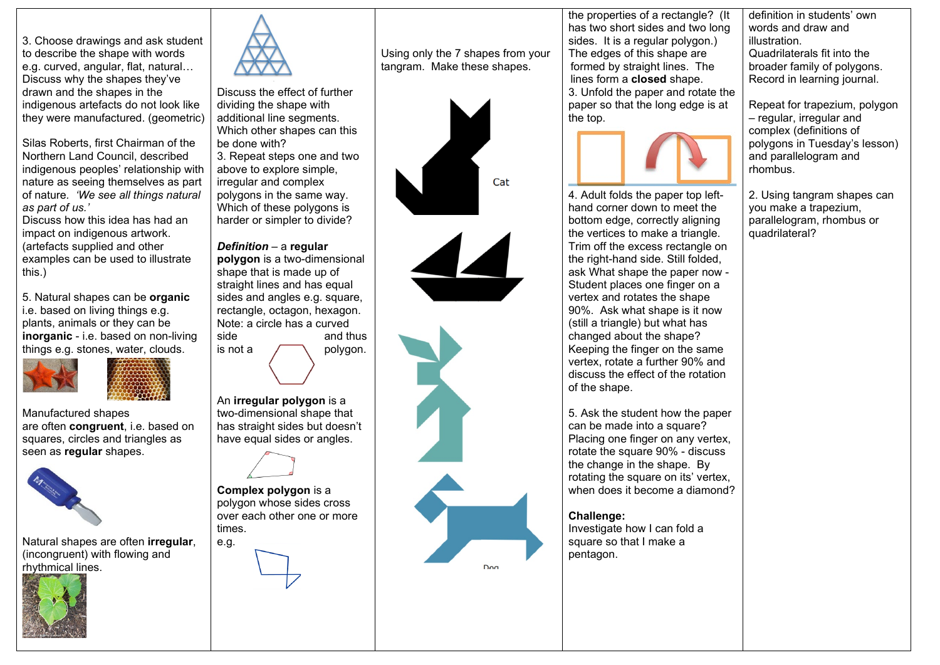3. Choose drawings and ask student to describe the shape with words e.g. curved, angular, flat, natural… Discuss why the shapes they've drawn and the shapes in the indigenous artefacts do not look like they were manufactured. (geometric)

Silas Roberts, first Chairman of the Northern Land Council, described indigenous peoples' relationship with nature as seeing themselves as part of nature*. 'We see all things natural as part of us.'*

Discuss how this idea has had an impact on indigenous artwork. (artefacts supplied and other examples can be used to illustrate this.)

5. Natural shapes can be **organic** i.e. based on living things e.g. plants, animals or they can be **inorganic** - i.e. based on non-living things e.g. stones, water, clouds.





Manufactured shapes are often **congruent**, i.e. based on squares, circles and triangles as seen as **regular** shapes.



Natural shapes are often **irregular**, (incongruent) with flowing and rhythmical lines.





Discuss the effect of further dividing the shape with additional line segments. Which other shapes can this be done with? 3. Repeat steps one and two above to explore simple, irregular and complex polygons in the same way.

Which of these polygons is harder or simpler to divide?

*Definition* – a **regular polygon** is a two-dimensional shape that is made up of straight lines and has equal sides and angles e.g. square, rectangle, octagon, hexagon. Note: a circle has a curved side and thus is not a  $\sqrt{ }$  polygon.

An **irregular polygon** is a two-dimensional shape that has straight sides but doesn't have equal sides or angles.

**Complex polygon** is a polygon whose sides cross over each other one or more times.

e.g.

Using only the 7 shapes from your tangram. Make these shapes.







the properties of a rectangle? (It has two short sides and two long sides. It is a regular polygon.) The edges of this shape are formed by straight lines. The lines form a **closed** shape. 3. Unfold the paper and rotate the paper so that the long edge is at the top.



4. Adult folds the paper top lefthand corner down to meet the bottom edge, correctly aligning the vertices to make a triangle. Trim off the excess rectangle on the right-hand side. Still folded, ask What shape the paper now - Student places one finger on a vertex and rotates the shape 90%. Ask what shape is it now (still a triangle) but what has changed about the shape? Keeping the finger on the same vertex, rotate a further 90% and discuss the effect of the rotation of the shape.

5. Ask the student how the paper can be made into a square? Placing one finger on any vertex, rotate the square 90% - discuss the change in the shape. By rotating the square on its' vertex, when does it become a diamond?

#### **Challenge:**

Investigate how I can fold a square so that I make a pentagon.

definition in students' own words and draw and illustration. Quadrilaterals fit into the broader family of polygons. Record in learning journal.

Repeat for trapezium, polygon – regular, irregular and complex (definitions of polygons in Tuesday's lesson) and parallelogram and rhombus.

2. Using tangram shapes can you make a trapezium, parallelogram, rhombus or quadrilateral?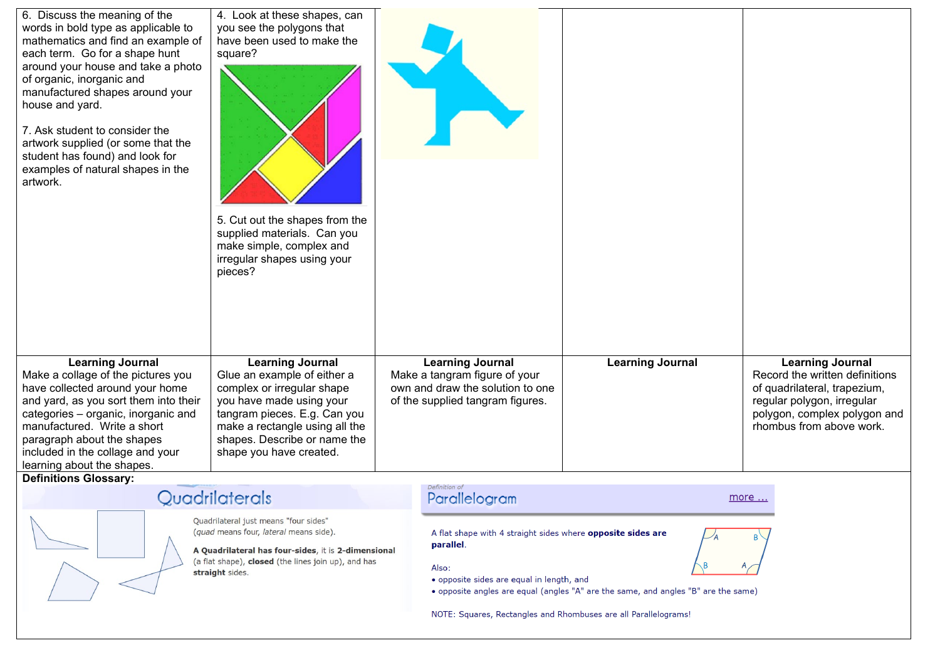| 6. Discuss the meaning of the<br>words in bold type as applicable to<br>mathematics and find an example of<br>each term. Go for a shape hunt<br>around your house and take a photo<br>of organic, inorganic and<br>manufactured shapes around your<br>house and yard.<br>7. Ask student to consider the<br>artwork supplied (or some that the<br>student has found) and look for<br>examples of natural shapes in the<br>artwork. | 4. Look at these shapes, can<br>you see the polygons that<br>have been used to make the<br>square?<br>5. Cut out the shapes from the<br>supplied materials. Can you<br>make simple, complex and<br>irregular shapes using your<br>pieces? |                                                                      |                                                                                    |                         |                                                            |  |
|-----------------------------------------------------------------------------------------------------------------------------------------------------------------------------------------------------------------------------------------------------------------------------------------------------------------------------------------------------------------------------------------------------------------------------------|-------------------------------------------------------------------------------------------------------------------------------------------------------------------------------------------------------------------------------------------|----------------------------------------------------------------------|------------------------------------------------------------------------------------|-------------------------|------------------------------------------------------------|--|
| <b>Learning Journal</b><br>Make a collage of the pictures you                                                                                                                                                                                                                                                                                                                                                                     | <b>Learning Journal</b><br>Glue an example of either a                                                                                                                                                                                    |                                                                      | <b>Learning Journal</b><br>Make a tangram figure of your                           | <b>Learning Journal</b> | <b>Learning Journal</b><br>Record the written definitions  |  |
| have collected around your home<br>and yard, as you sort them into their                                                                                                                                                                                                                                                                                                                                                          | complex or irregular shape<br>you have made using your                                                                                                                                                                                    | own and draw the solution to one<br>of the supplied tangram figures. |                                                                                    |                         | of quadrilateral, trapezium,<br>regular polygon, irregular |  |
| categories - organic, inorganic and                                                                                                                                                                                                                                                                                                                                                                                               | tangram pieces. E.g. Can you                                                                                                                                                                                                              |                                                                      |                                                                                    |                         | polygon, complex polygon and                               |  |
| manufactured. Write a short                                                                                                                                                                                                                                                                                                                                                                                                       | make a rectangle using all the                                                                                                                                                                                                            |                                                                      |                                                                                    |                         | rhombus from above work.                                   |  |
| paragraph about the shapes<br>included in the collage and your                                                                                                                                                                                                                                                                                                                                                                    | shapes. Describe or name the<br>shape you have created.                                                                                                                                                                                   |                                                                      |                                                                                    |                         |                                                            |  |
| learning about the shapes.                                                                                                                                                                                                                                                                                                                                                                                                        |                                                                                                                                                                                                                                           |                                                                      |                                                                                    |                         |                                                            |  |
| <b>Definitions Glossary:</b>                                                                                                                                                                                                                                                                                                                                                                                                      |                                                                                                                                                                                                                                           |                                                                      |                                                                                    |                         |                                                            |  |
| Quadrilaterals<br>Parallelogram<br>more                                                                                                                                                                                                                                                                                                                                                                                           |                                                                                                                                                                                                                                           |                                                                      |                                                                                    |                         |                                                            |  |
| Quadrilateral just means "four sides"<br>(quad means four, lateral means side).<br>A Quadrilateral has four-sides, it is 2-dimensional<br>(a flat shape), closed (the lines join up), and has                                                                                                                                                                                                                                     |                                                                                                                                                                                                                                           |                                                                      | A flat shape with 4 straight sides where <b>opposite sides are</b><br>parallel.    |                         |                                                            |  |
| straight sides.                                                                                                                                                                                                                                                                                                                                                                                                                   |                                                                                                                                                                                                                                           |                                                                      | Also:<br>• opposite sides are equal in length, and                                 |                         |                                                            |  |
|                                                                                                                                                                                                                                                                                                                                                                                                                                   |                                                                                                                                                                                                                                           |                                                                      | • opposite angles are equal (angles "A" are the same, and angles "B" are the same) |                         |                                                            |  |
|                                                                                                                                                                                                                                                                                                                                                                                                                                   |                                                                                                                                                                                                                                           |                                                                      | NOTE: Squares, Rectangles and Rhombuses are all Parallelograms!                    |                         |                                                            |  |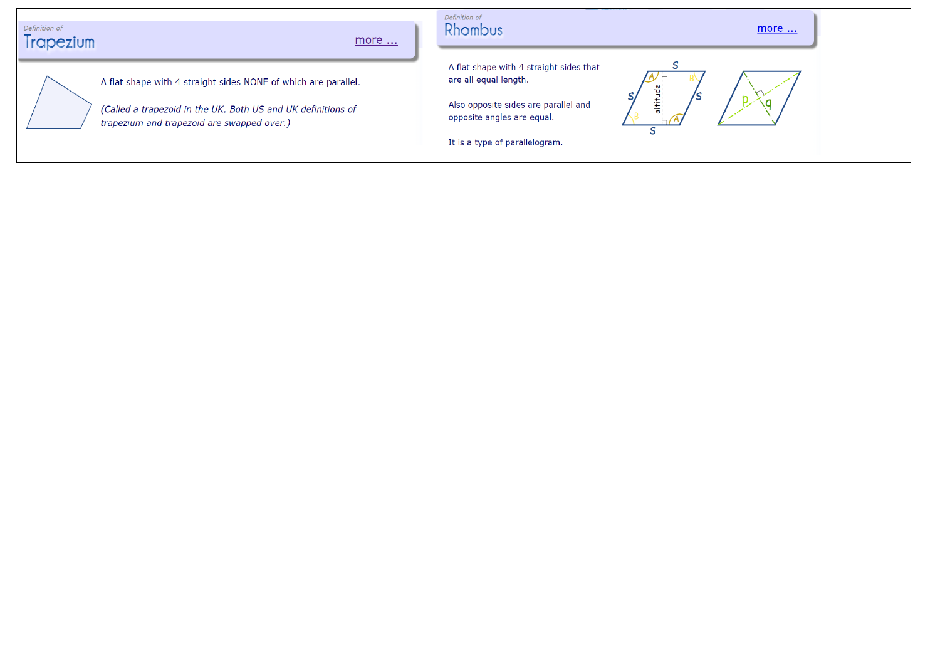| Definition of<br>more<br><i><u><b>Irapezium</b></u></i>                                                                                                                      | Definition of<br><b>Rhombus</b><br>more                                                                                                                                                     |  |
|------------------------------------------------------------------------------------------------------------------------------------------------------------------------------|---------------------------------------------------------------------------------------------------------------------------------------------------------------------------------------------|--|
| A flat shape with 4 straight sides NONE of which are parallel.<br>(Called a trapezoid in the UK. Both US and UK definitions of<br>trapezium and trapezoid are swapped over.) | A flat shape with 4 straight sides that<br>are all equal length.<br>S/<br>- ≓'<br>Also opposite sides are parallel and<br>휭<br>opposite angles are equal.<br>It is a type of parallelogram. |  |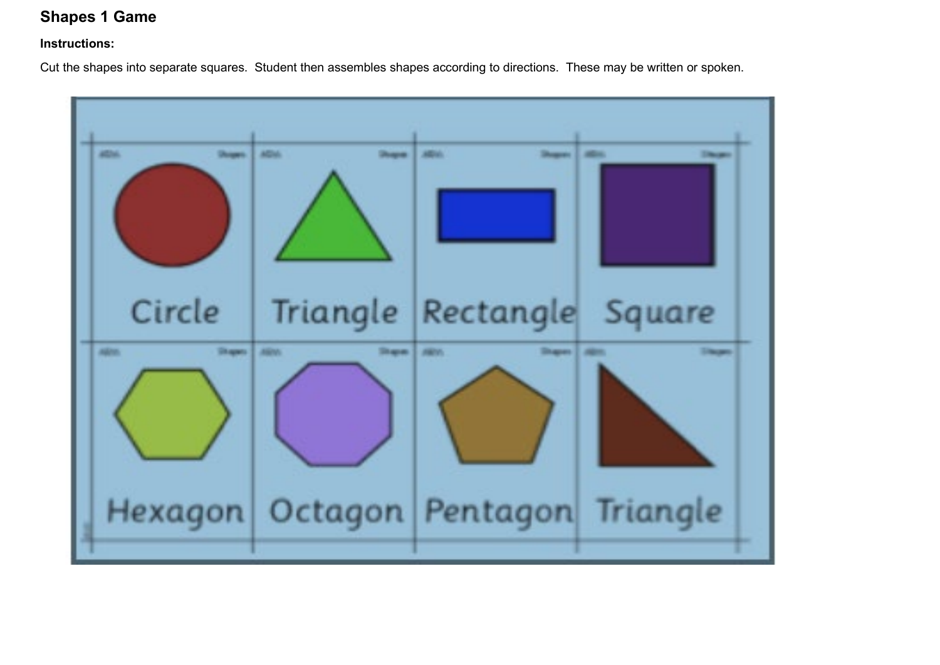# **Shapes 1 Game**

# **Instructions:**

Cut the shapes into separate squares. Student then assembles shapes according to directions. These may be written or spoken.

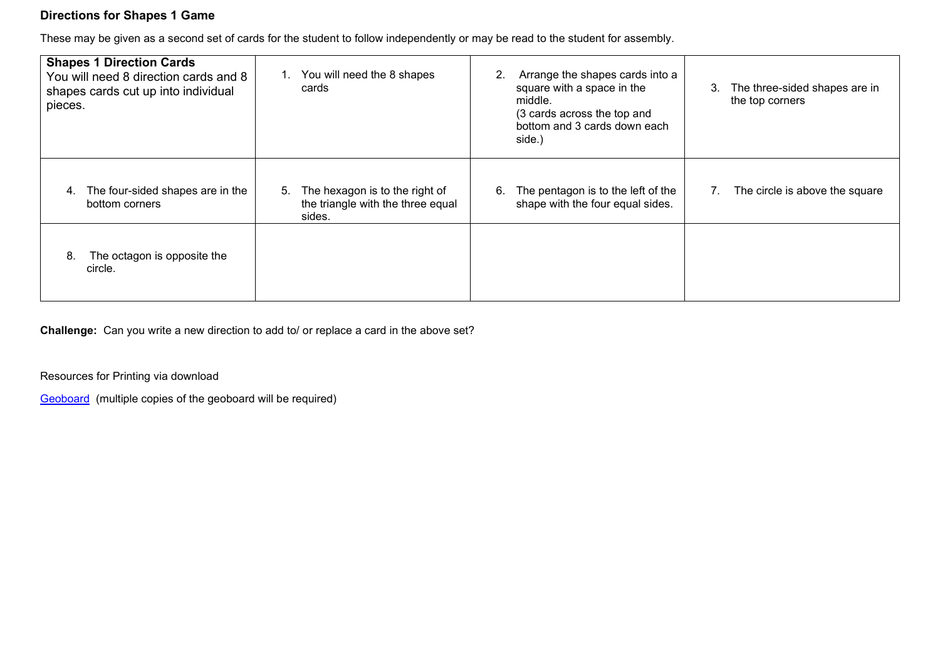## **Directions for Shapes 1 Game**

These may be given as a second set of cards for the student to follow independently or may be read to the student for assembly.

| <b>Shapes 1 Direction Cards</b><br>You will need 8 direction cards and 8<br>shapes cards cut up into individual<br>pieces. | You will need the 8 shapes<br>cards                                                 | 2.<br>Arrange the shapes cards into a<br>square with a space in the<br>middle.<br>(3 cards across the top and<br>bottom and 3 cards down each<br>side.) | 3.<br>The three-sided shapes are in<br>the top corners |
|----------------------------------------------------------------------------------------------------------------------------|-------------------------------------------------------------------------------------|---------------------------------------------------------------------------------------------------------------------------------------------------------|--------------------------------------------------------|
| The four-sided shapes are in the<br>4.<br>bottom corners                                                                   | 5.<br>The hexagon is to the right of<br>the triangle with the three equal<br>sides. | 6.<br>The pentagon is to the left of the<br>shape with the four equal sides.                                                                            | The circle is above the square<br>7.                   |
| 8.<br>The octagon is opposite the<br>circle.                                                                               |                                                                                     |                                                                                                                                                         |                                                        |

**Challenge:** Can you write a new direction to add to/ or replace a card in the above set?

Resources for Printing via download

[Geoboard](https://twbcso-my.sharepoint.com/:b:/g/personal/sue_keefer_twb_catholic_edu_au/EWflsQn7xBJPmIvqhvtTFQMBottyFcY-VCnNFkeKW1EhBg?e=5f4goW) (multiple copies of the geoboard will be required)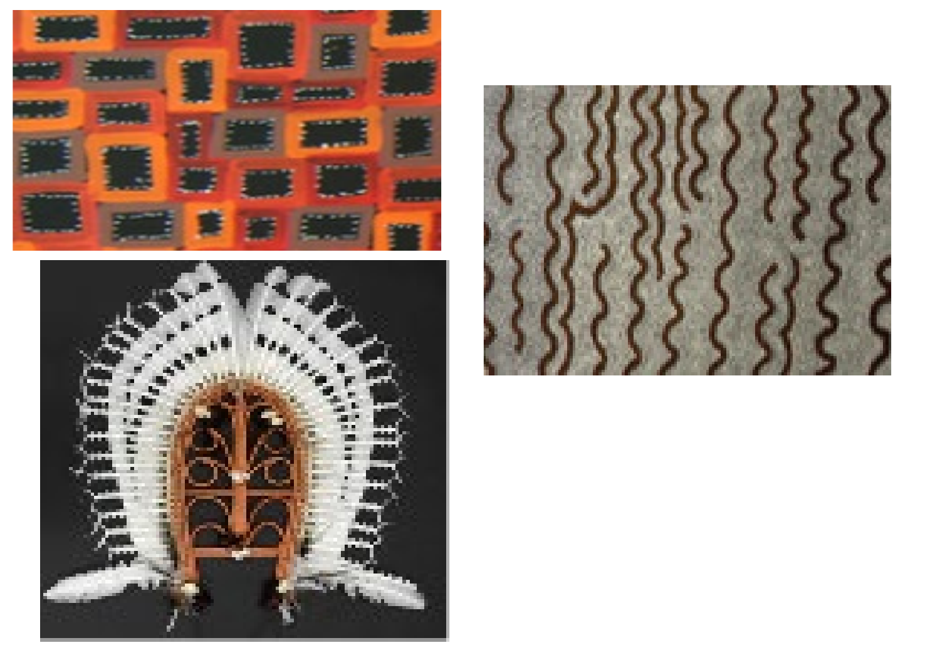